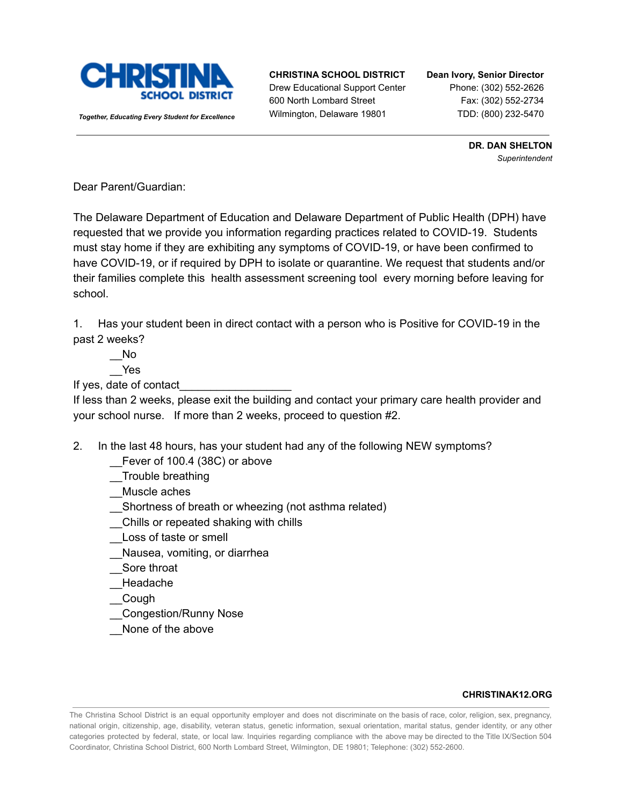

*Together, Educating Every Student for Excellence*

## **CHRISTINA SCHOOL DISTRICT**

Drew Educational Support Center 600 North Lombard Street Wilmington, Delaware 19801

### **Dean Ivory, Senior Director** Phone: (302) 552-2626 Fax: (302) 552-2734 TDD: (800) 232-5470

**DR. DAN SHELTON** *Superintendent*

Dear Parent/Guardian:

The Delaware Department of Education and Delaware Department of Public Health (DPH) have requested that we provide you information regarding practices related to COVID-19. Students must stay home if they are exhibiting any symptoms of COVID-19, or have been confirmed to have COVID-19, or if required by DPH to isolate or quarantine. We request that students and/or their families complete this health assessment screening tool every morning before leaving for school.

1. Has your student been in direct contact with a person who is Positive for COVID-19 in the past 2 weeks?

 $\overline{\phantom{0}}$ No \_\_Yes

If yes, date of contact

If less than 2 weeks, please exit the building and contact your primary care health provider and your school nurse. If more than 2 weeks, proceed to question #2.

2. In the last 48 hours, has your student had any of the following NEW symptoms?

- Fever of 100.4 (38C) or above
- \_\_Trouble breathing

\_\_Muscle aches

- \_\_Shortness of breath or wheezing (not asthma related)
- \_\_Chills or repeated shaking with chills
- \_\_Loss of taste or smell
- \_\_Nausea, vomiting, or diarrhea
- \_\_Sore throat
- \_\_Headache
- \_\_Cough
- \_\_Congestion/Runny Nose
- None of the above

### **CHRISTINAK12.ORG**

The Christina School District is an equal opportunity employer and does not discriminate on the basis of race, color, religion, sex, pregnancy, national origin, citizenship, age, disability, veteran status, genetic information, sexual orientation, marital status, gender identity, or any other categories protected by federal, state, or local law. Inquiries regarding compliance with the above may be directed to the Title IX/Section 504 Coordinator, Christina School District, 600 North Lombard Street, Wilmington, DE 19801; Telephone: (302) 552-2600.